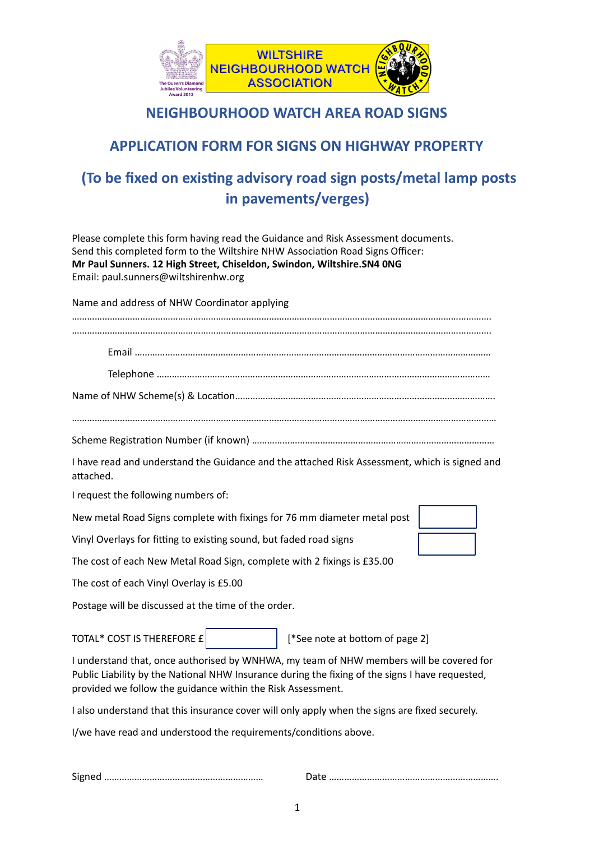

## **NEIGHBOURHOOD WATCH AREA ROAD SIGNS**

## **APPLICATION FORM FOR SIGNS ON HIGHWAY PROPERTY**

## **(To be fixed on existing advisory road sign posts/metal lamp posts** in pavements/verges)

Please complete this form having read the Guidance and Risk Assessment documents. Send this completed form to the Wiltshire NHW Association Road Signs Officer: **Mr Paul Sunners. 12 High Street, Chiseldon, Swindon, Wiltshire.SN4 0NG** Email: paul.sunners@wiltshirenhw.org

Name and address of NHW Coordinator applying

| I have read and understand the Guidance and the attached Risk Assessment, which is signed and<br>attached.                                                                                                                                                |
|-----------------------------------------------------------------------------------------------------------------------------------------------------------------------------------------------------------------------------------------------------------|
| I request the following numbers of:                                                                                                                                                                                                                       |
| New metal Road Signs complete with fixings for 76 mm diameter metal post                                                                                                                                                                                  |
| Vinyl Overlays for fitting to existing sound, but faded road signs                                                                                                                                                                                        |
| The cost of each New Metal Road Sign, complete with 2 fixings is £35.00                                                                                                                                                                                   |
| The cost of each Vinyl Overlay is £5.00                                                                                                                                                                                                                   |
| Postage will be discussed at the time of the order.                                                                                                                                                                                                       |
| TOTAL* COST IS THEREFORE £<br>[*See note at bottom of page 2]                                                                                                                                                                                             |
| I understand that, once authorised by WNHWA, my team of NHW members will be covered for<br>Public Liability by the National NHW Insurance during the fixing of the signs I have requested,<br>provided we follow the guidance within the Risk Assessment. |

I also understand that this insurance cover will only apply when the signs are fixed securely.

I/we have read and understood the requirements/conditions above.

Signed ……………………………………………………… Date …………………………………………………………. 

 1